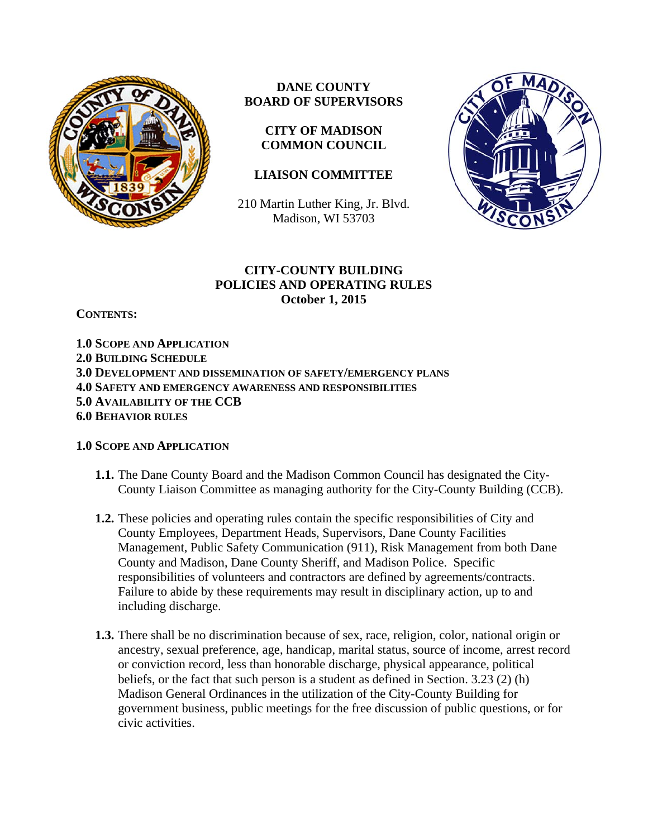

# **DANE COUNTY BOARD OF SUPERVISORS**

**CITY OF MADISON COMMON COUNCIL** 

# **LIAISON COMMITTEE**

210 Martin Luther King, Jr. Blvd. Madison, WI 53703



### **CITY-COUNTY BUILDING POLICIES AND OPERATING RULES October 1, 2015**

**CONTENTS:** 

**1.0 SCOPE AND APPLICATION 2.0 BUILDING SCHEDULE 3.0 DEVELOPMENT AND DISSEMINATION OF SAFETY/EMERGENCY PLANS 4.0 SAFETY AND EMERGENCY AWARENESS AND RESPONSIBILITIES 5.0 AVAILABILITY OF THE CCB 6.0 BEHAVIOR RULES**

#### **1.0 SCOPE AND APPLICATION**

- **1.1.** The Dane County Board and the Madison Common Council has designated the City-County Liaison Committee as managing authority for the City-County Building (CCB).
- **1.2.** These policies and operating rules contain the specific responsibilities of City and County Employees, Department Heads, Supervisors, Dane County Facilities Management, Public Safety Communication (911), Risk Management from both Dane County and Madison, Dane County Sheriff, and Madison Police. Specific responsibilities of volunteers and contractors are defined by agreements/contracts. Failure to abide by these requirements may result in disciplinary action, up to and including discharge.
- **1.3.** There shall be no discrimination because of sex, race, religion, color, national origin or ancestry, sexual preference, age, handicap, marital status, source of income, arrest record or conviction record, less than honorable discharge, physical appearance, political beliefs, or the fact that such person is a student as defined in Section. 3.23 (2) (h) Madison General Ordinances in the utilization of the City-County Building for government business, public meetings for the free discussion of public questions, or for civic activities.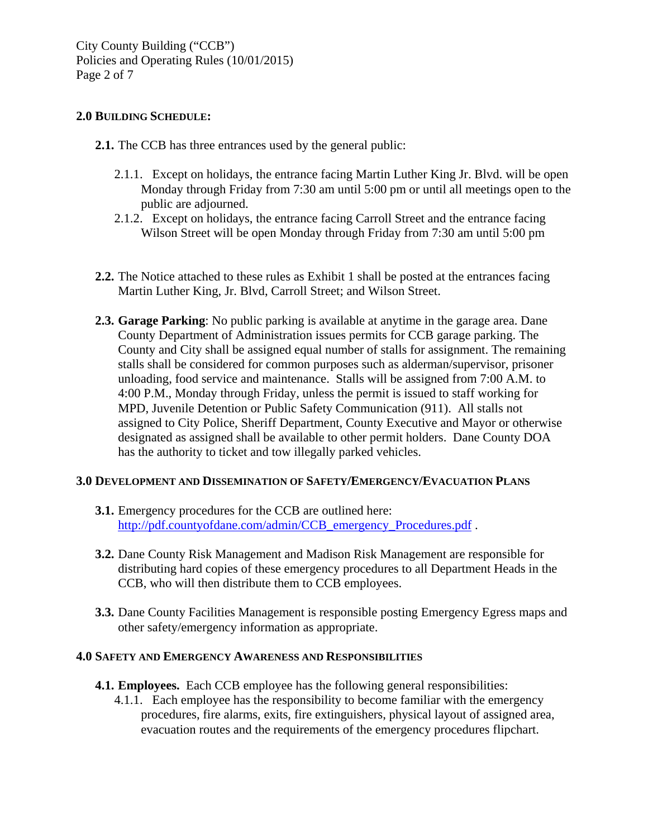### **2.0 BUILDING SCHEDULE:**

- **2.1.** The CCB has three entrances used by the general public:
	- 2.1.1. Except on holidays, the entrance facing Martin Luther King Jr. Blvd. will be open Monday through Friday from 7:30 am until 5:00 pm or until all meetings open to the public are adjourned.
	- 2.1.2. Except on holidays, the entrance facing Carroll Street and the entrance facing Wilson Street will be open Monday through Friday from 7:30 am until 5:00 pm
- **2.2.** The Notice attached to these rules as Exhibit 1 shall be posted at the entrances facing Martin Luther King, Jr. Blvd, Carroll Street; and Wilson Street.
- **2.3. Garage Parking**: No public parking is available at anytime in the garage area. Dane County Department of Administration issues permits for CCB garage parking. The County and City shall be assigned equal number of stalls for assignment. The remaining stalls shall be considered for common purposes such as alderman/supervisor, prisoner unloading, food service and maintenance. Stalls will be assigned from 7:00 A.M. to 4:00 P.M., Monday through Friday, unless the permit is issued to staff working for MPD, Juvenile Detention or Public Safety Communication (911). All stalls not assigned to City Police, Sheriff Department, County Executive and Mayor or otherwise designated as assigned shall be available to other permit holders. Dane County DOA has the authority to ticket and tow illegally parked vehicles.

#### **3.0 DEVELOPMENT AND DISSEMINATION OF SAFETY/EMERGENCY/EVACUATION PLANS**

- **3.1.** Emergency procedures for the CCB are outlined here: http://pdf.countyofdane.com/admin/CCB\_emergency\_Procedures.pdf.
- **3.2.** Dane County Risk Management and Madison Risk Management are responsible for distributing hard copies of these emergency procedures to all Department Heads in the CCB, who will then distribute them to CCB employees.
- **3.3.** Dane County Facilities Management is responsible posting Emergency Egress maps and other safety/emergency information as appropriate.

#### **4.0 SAFETY AND EMERGENCY AWARENESS AND RESPONSIBILITIES**

- **4.1. Employees.** Each CCB employee has the following general responsibilities:
	- 4.1.1. Each employee has the responsibility to become familiar with the emergency procedures, fire alarms, exits, fire extinguishers, physical layout of assigned area, evacuation routes and the requirements of the emergency procedures flipchart.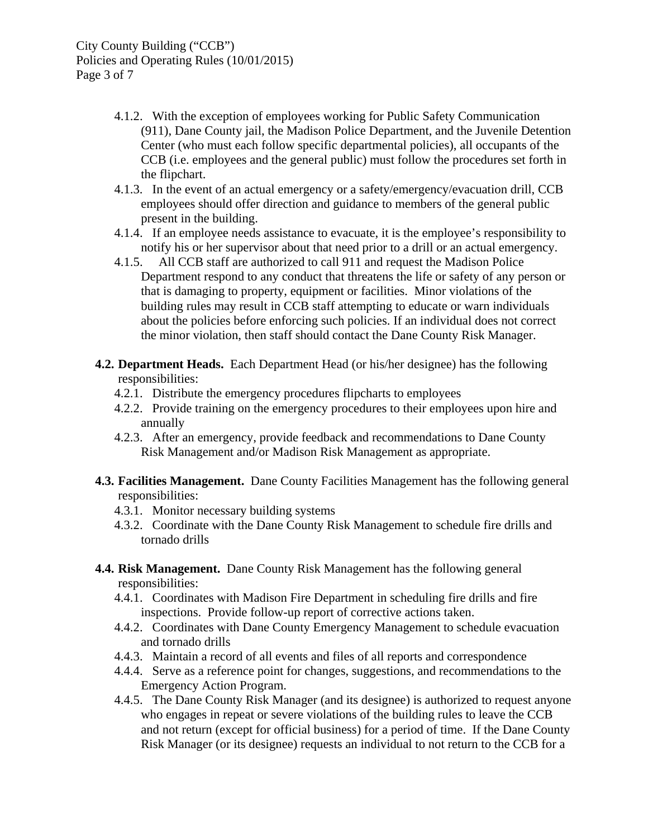- 4.1.2. With the exception of employees working for Public Safety Communication (911), Dane County jail, the Madison Police Department, and the Juvenile Detention Center (who must each follow specific departmental policies), all occupants of the CCB (i.e. employees and the general public) must follow the procedures set forth in the flipchart.
- 4.1.3. In the event of an actual emergency or a safety/emergency/evacuation drill, CCB employees should offer direction and guidance to members of the general public present in the building.
- 4.1.4. If an employee needs assistance to evacuate, it is the employee's responsibility to notify his or her supervisor about that need prior to a drill or an actual emergency.
- 4.1.5. All CCB staff are authorized to call 911 and request the Madison Police Department respond to any conduct that threatens the life or safety of any person or that is damaging to property, equipment or facilities. Minor violations of the building rules may result in CCB staff attempting to educate or warn individuals about the policies before enforcing such policies. If an individual does not correct the minor violation, then staff should contact the Dane County Risk Manager.
- **4.2. Department Heads.** Each Department Head (or his/her designee) has the following responsibilities:
	- 4.2.1. Distribute the emergency procedures flipcharts to employees
	- 4.2.2. Provide training on the emergency procedures to their employees upon hire and annually
	- 4.2.3. After an emergency, provide feedback and recommendations to Dane County Risk Management and/or Madison Risk Management as appropriate.
- **4.3. Facilities Management.** Dane County Facilities Management has the following general responsibilities:
	- 4.3.1. Monitor necessary building systems
	- 4.3.2. Coordinate with the Dane County Risk Management to schedule fire drills and tornado drills
- **4.4. Risk Management.** Dane County Risk Management has the following general responsibilities:
	- 4.4.1. Coordinates with Madison Fire Department in scheduling fire drills and fire inspections. Provide follow-up report of corrective actions taken.
	- 4.4.2. Coordinates with Dane County Emergency Management to schedule evacuation and tornado drills
	- 4.4.3. Maintain a record of all events and files of all reports and correspondence
	- 4.4.4. Serve as a reference point for changes, suggestions, and recommendations to the Emergency Action Program.
	- 4.4.5. The Dane County Risk Manager (and its designee) is authorized to request anyone who engages in repeat or severe violations of the building rules to leave the CCB and not return (except for official business) for a period of time. If the Dane County Risk Manager (or its designee) requests an individual to not return to the CCB for a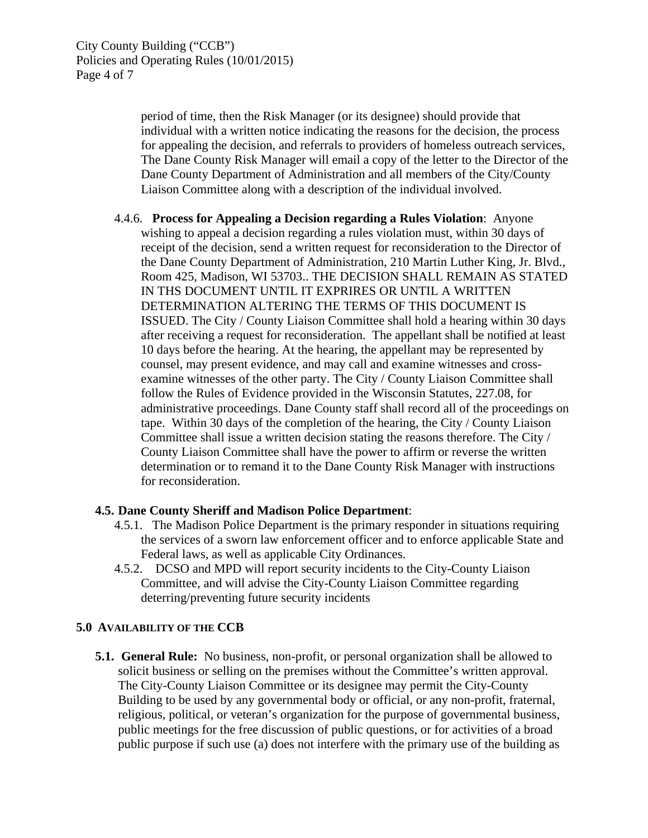period of time, then the Risk Manager (or its designee) should provide that individual with a written notice indicating the reasons for the decision, the process for appealing the decision, and referrals to providers of homeless outreach services, The Dane County Risk Manager will email a copy of the letter to the Director of the Dane County Department of Administration and all members of the City/County Liaison Committee along with a description of the individual involved.

4.4.6. **Process for Appealing a Decision regarding a Rules Violation**: Anyone wishing to appeal a decision regarding a rules violation must, within 30 days of receipt of the decision, send a written request for reconsideration to the Director of the Dane County Department of Administration, 210 Martin Luther King, Jr. Blvd., Room 425, Madison, WI 53703.. THE DECISION SHALL REMAIN AS STATED IN THS DOCUMENT UNTIL IT EXPRIRES OR UNTIL A WRITTEN DETERMINATION ALTERING THE TERMS OF THIS DOCUMENT IS ISSUED. The City / County Liaison Committee shall hold a hearing within 30 days after receiving a request for reconsideration. The appellant shall be notified at least 10 days before the hearing. At the hearing, the appellant may be represented by counsel, may present evidence, and may call and examine witnesses and crossexamine witnesses of the other party. The City / County Liaison Committee shall follow the Rules of Evidence provided in the Wisconsin Statutes, 227.08, for administrative proceedings. Dane County staff shall record all of the proceedings on tape. Within 30 days of the completion of the hearing, the City / County Liaison Committee shall issue a written decision stating the reasons therefore. The City / County Liaison Committee shall have the power to affirm or reverse the written determination or to remand it to the Dane County Risk Manager with instructions for reconsideration.

# **4.5. Dane County Sheriff and Madison Police Department**:

- 4.5.1. The Madison Police Department is the primary responder in situations requiring the services of a sworn law enforcement officer and to enforce applicable State and Federal laws, as well as applicable City Ordinances.
- 4.5.2. DCSO and MPD will report security incidents to the City-County Liaison Committee, and will advise the City-County Liaison Committee regarding deterring/preventing future security incidents

#### **5.0 AVAILABILITY OF THE CCB**

**5.1. General Rule:** No business, non-profit, or personal organization shall be allowed to solicit business or selling on the premises without the Committee's written approval. The City-County Liaison Committee or its designee may permit the City-County Building to be used by any governmental body or official, or any non-profit, fraternal, religious, political, or veteran's organization for the purpose of governmental business, public meetings for the free discussion of public questions, or for activities of a broad public purpose if such use (a) does not interfere with the primary use of the building as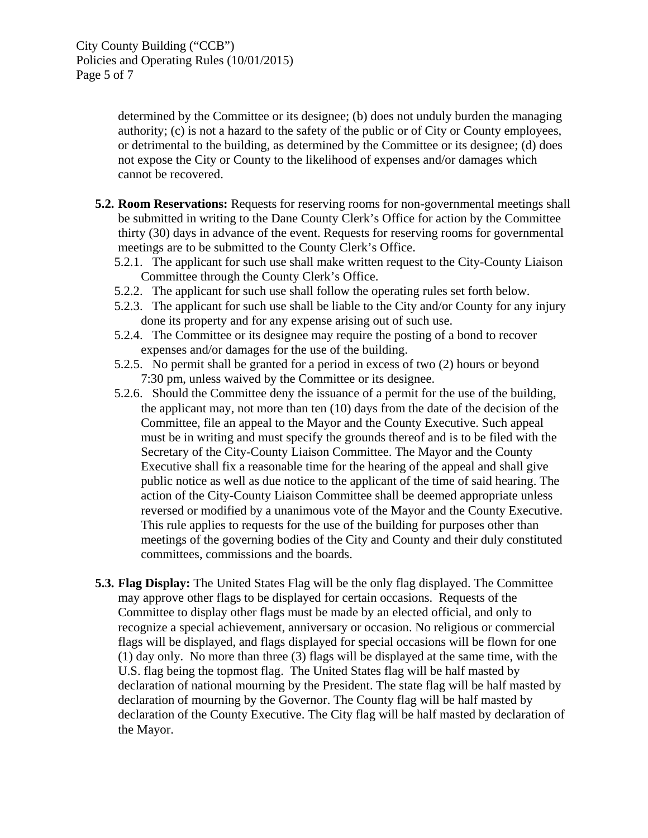determined by the Committee or its designee; (b) does not unduly burden the managing authority; (c) is not a hazard to the safety of the public or of City or County employees, or detrimental to the building, as determined by the Committee or its designee; (d) does not expose the City or County to the likelihood of expenses and/or damages which cannot be recovered.

- **5.2. Room Reservations:** Requests for reserving rooms for non-governmental meetings shall be submitted in writing to the Dane County Clerk's Office for action by the Committee thirty (30) days in advance of the event. Requests for reserving rooms for governmental meetings are to be submitted to the County Clerk's Office.
	- 5.2.1. The applicant for such use shall make written request to the City-County Liaison Committee through the County Clerk's Office.
	- 5.2.2. The applicant for such use shall follow the operating rules set forth below.
	- 5.2.3. The applicant for such use shall be liable to the City and/or County for any injury done its property and for any expense arising out of such use.
	- 5.2.4. The Committee or its designee may require the posting of a bond to recover expenses and/or damages for the use of the building.
	- 5.2.5. No permit shall be granted for a period in excess of two (2) hours or beyond 7:30 pm, unless waived by the Committee or its designee.
	- 5.2.6. Should the Committee deny the issuance of a permit for the use of the building, the applicant may, not more than ten (10) days from the date of the decision of the Committee, file an appeal to the Mayor and the County Executive. Such appeal must be in writing and must specify the grounds thereof and is to be filed with the Secretary of the City-County Liaison Committee. The Mayor and the County Executive shall fix a reasonable time for the hearing of the appeal and shall give public notice as well as due notice to the applicant of the time of said hearing. The action of the City-County Liaison Committee shall be deemed appropriate unless reversed or modified by a unanimous vote of the Mayor and the County Executive. This rule applies to requests for the use of the building for purposes other than meetings of the governing bodies of the City and County and their duly constituted committees, commissions and the boards.
- **5.3. Flag Display:** The United States Flag will be the only flag displayed. The Committee may approve other flags to be displayed for certain occasions. Requests of the Committee to display other flags must be made by an elected official, and only to recognize a special achievement, anniversary or occasion. No religious or commercial flags will be displayed, and flags displayed for special occasions will be flown for one (1) day only. No more than three (3) flags will be displayed at the same time, with the U.S. flag being the topmost flag. The United States flag will be half masted by declaration of national mourning by the President. The state flag will be half masted by declaration of mourning by the Governor. The County flag will be half masted by declaration of the County Executive. The City flag will be half masted by declaration of the Mayor.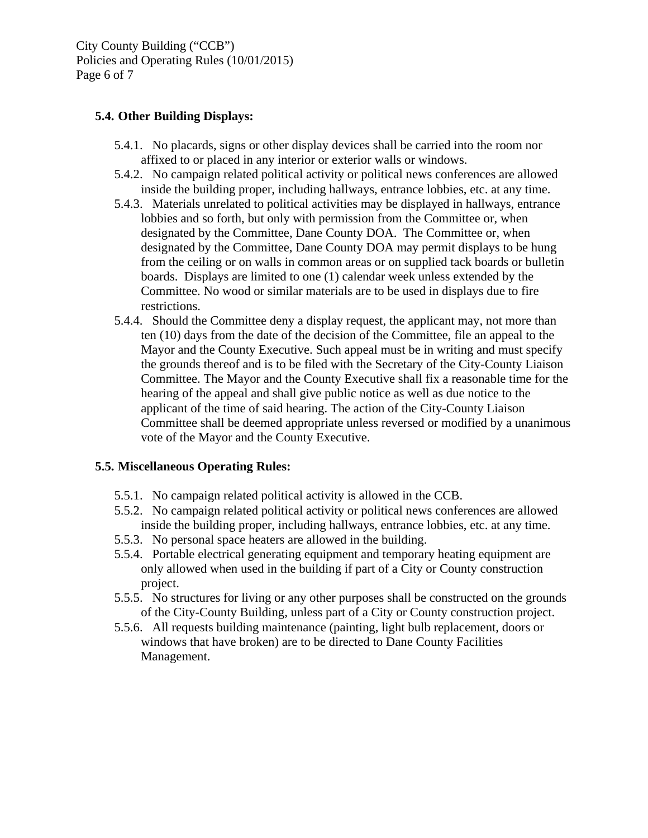City County Building ("CCB") Policies and Operating Rules (10/01/2015) Page 6 of 7

# **5.4. Other Building Displays:**

- 5.4.1. No placards, signs or other display devices shall be carried into the room nor affixed to or placed in any interior or exterior walls or windows.
- 5.4.2. No campaign related political activity or political news conferences are allowed inside the building proper, including hallways, entrance lobbies, etc. at any time.
- 5.4.3. Materials unrelated to political activities may be displayed in hallways, entrance lobbies and so forth, but only with permission from the Committee or, when designated by the Committee, Dane County DOA. The Committee or, when designated by the Committee, Dane County DOA may permit displays to be hung from the ceiling or on walls in common areas or on supplied tack boards or bulletin boards. Displays are limited to one (1) calendar week unless extended by the Committee. No wood or similar materials are to be used in displays due to fire restrictions.
- 5.4.4. Should the Committee deny a display request, the applicant may, not more than ten (10) days from the date of the decision of the Committee, file an appeal to the Mayor and the County Executive. Such appeal must be in writing and must specify the grounds thereof and is to be filed with the Secretary of the City-County Liaison Committee. The Mayor and the County Executive shall fix a reasonable time for the hearing of the appeal and shall give public notice as well as due notice to the applicant of the time of said hearing. The action of the City-County Liaison Committee shall be deemed appropriate unless reversed or modified by a unanimous vote of the Mayor and the County Executive.

# **5.5. Miscellaneous Operating Rules:**

- 5.5.1. No campaign related political activity is allowed in the CCB.
- 5.5.2. No campaign related political activity or political news conferences are allowed inside the building proper, including hallways, entrance lobbies, etc. at any time.
- 5.5.3. No personal space heaters are allowed in the building.
- 5.5.4. Portable electrical generating equipment and temporary heating equipment are only allowed when used in the building if part of a City or County construction project.
- 5.5.5. No structures for living or any other purposes shall be constructed on the grounds of the City-County Building, unless part of a City or County construction project.
- 5.5.6. All requests building maintenance (painting, light bulb replacement, doors or windows that have broken) are to be directed to Dane County Facilities Management.